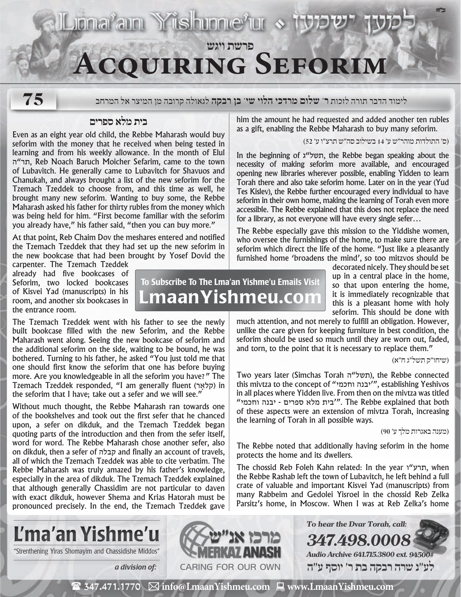# **פרשת ויגש Acquiring Seforim**

**Luma'am Yishunne'ur > 13** 

**75**

לימוד הדבר תורה לזכות **ר' שלום מרדכי הלוי שי' בן רבקה** לגאולה קרובה מן המיצר אל המרחב

## **בית מלא ספרים**

Even as an eight year old child, the Rebbe Maharash would buy seforim with the money that he received when being tested in learning and from his weekly allowance. In the month of Elul ה"תר, Reb Noach Baruch Moicher Sefarim, came to the town of Lubavitch. He generally came to Lubavitch for Shavuos and Chanukah, and always brought a list of the new seforim for the Tzemach Tzeddek to choose from, and this time as well, he brought many new seforim. Wanting to buy some, the Rebbe Maharash asked his father for thirty rubles from the money which was being held for him. "First become familiar with the seforim you already have," his father said, "then you can buy more."

At that point, Reb Chaim Dov the meshares entered and notified the Tzemach Tzeddek that they had set up the new seforim in the new bookcase that had been brought by Yosef Dovid the

carpenter. The Tzemach Tzeddek already had five bookcases of Seforim, two locked bookcases of Kisvei Yad (manuscripts) in his room, and another six bookcases in the entrance room.

The Tzemach Tzeddek went with his father to see the newly built bookcase filled with the new Seforim, and the Rebbe Maharash went along. Seeing the new bookcase of seforim and the additional seforim on the side, waiting to be bound, he was bothered. Turning to his father, he asked "You just told me that one should first know the seforim that one has before buying more. Are you knowledgeable in all the seforim you have?" The Tzemach Tzeddek responded, "I am generally fluent (ארָקל (in the seforim that I have; take out a sefer and we will see."

Without much thought, the Rebbe Maharash ran towards one of the bookshelves and took out the first sefer that he chanced upon, a sefer on dikduk, and the Tzemach Tzeddek began quoting parts of the introduction and then from the sefer itself, word for word. The Rebbe Maharash chose another sefer, also on dikduk, then a sefer of קבלה and finally an account of travels, all of which the Tzemach Tzeddek was able to cite verbatim. The Rebbe Maharash was truly amazed by his father's knowledge, especially in the area of dikduk. The Tzemach Tzeddek explained that although generally Chassidim are not particular to daven with exact dikduk, however Shema and Krias Hatorah must be pronounced precisely. In the end, the Tzemach Tzeddek gave

seforim which direct the life of the home. "Just like a pleasantly furnished home 'broadens the mind', so too mitzvos should be To Subscribe To The Lma'an Yishme'u Emails Visit

LmaanYishmeu.com

decorated nicely. They should be set up in a central place in the home, so that upon entering the home, it is immediately recognizable that this is a pleasant home with holy seforim. This should be done with

much attention, and not merely to fulfill an obligation. However, unlike the care given for keeping furniture in best condition, the seforim should be used so much until they are worn out, faded, and torn, to the point that it is necessary to replace them."

him the amount he had requested and added another ten rubles as a gift, enabling the Rebbe Maharash to buy many seforim.

In the beginning of ג"תשל, the Rebbe began speaking about the necessity of making seforim more available, and encouraged opening new libraries wherever possible, enabling Yidden to learn Torah there and also take seforim home. Later on in the year (Yud Tes Kislev), the Rebbe further encouraged every individual to have seforim in their own home, making the learning of Torah even more accessible. The Rebbe explained that this does not replace the need

The Rebbe especially gave this mission to the Yiddishe women, who oversee the furnishings of the home, to make sure there are

for a library, as not everyone will have every single sefer…

)ס׳ התולדות מוהר״ש ע׳ 14 בשילוב סה״ש תרצ״ו ע׳ 52(

)שיחו״ק תשל״ג ח״א(

**ב"ה**

Two years later (Simchas Torah תשל"ה), the Rebbe connected this mivtza to the concept of "וחכמי יבנה"', establishing Yeshivos in all places where Yidden live. From then on the mivtza was titled "צית מלא ספרים - יבנה וחכמי". The Rebbe explained that both of these aspects were an extension of mivtza Torah, increasing the learning of Torah in all possible ways.

)מענה באגרות מלך ע׳ 90(

The Rebbe noted that additionally having seforim in the home protects the home and its dwellers.

The chossid Reb Foleh Kahn related: In the year תרע"ו, when the Rebbe Rashab left the town of Lubavitch, he left behind a full crate of valuable and important Kisvei Yad (manuscripts) from many Rabbeim and Gedolei Yisroel in the chossid Reb Zelka Parsitz's home, in Moscow. When I was at Reb Zelka's home



"Strenthening Yiras Shomayim and Chassidishe Middos"



( 347.471.1770 **info@LmaanYishmeu.com www.LmaanYishmeu.com**  $\mathbf{m}$  and  $\mathbf{m}$  and  $\mathbf{m}$